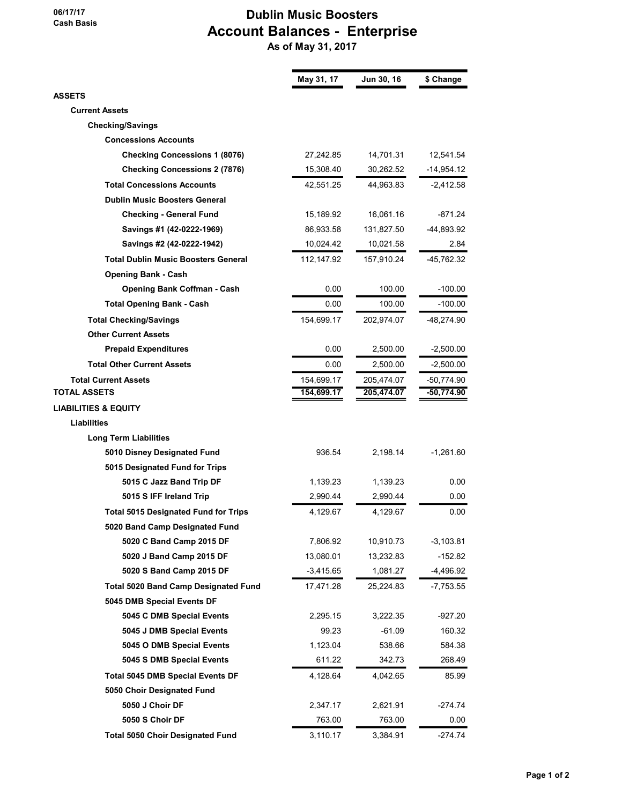## 06/17/17 Cash Basis

## Dublin Music Boosters Account Balances - Enterprise

As of May 31, 2017

|                                             | May 31, 17  | Jun 30, 16 | \$ Change    |
|---------------------------------------------|-------------|------------|--------------|
| <b>ASSETS</b>                               |             |            |              |
| <b>Current Assets</b>                       |             |            |              |
| <b>Checking/Savings</b>                     |             |            |              |
| <b>Concessions Accounts</b>                 |             |            |              |
| <b>Checking Concessions 1 (8076)</b>        | 27,242.85   | 14,701.31  | 12,541.54    |
| <b>Checking Concessions 2 (7876)</b>        | 15,308.40   | 30,262.52  | $-14,954.12$ |
| <b>Total Concessions Accounts</b>           | 42,551.25   | 44,963.83  | $-2,412.58$  |
| <b>Dublin Music Boosters General</b>        |             |            |              |
| <b>Checking - General Fund</b>              | 15,189.92   | 16,061.16  | $-871.24$    |
| Savings #1 (42-0222-1969)                   | 86,933.58   | 131,827.50 | -44,893.92   |
| Savings #2 (42-0222-1942)                   | 10,024.42   | 10,021.58  | 2.84         |
| <b>Total Dublin Music Boosters General</b>  | 112,147.92  | 157,910.24 | -45,762.32   |
| <b>Opening Bank - Cash</b>                  |             |            |              |
| <b>Opening Bank Coffman - Cash</b>          | 0.00        | 100.00     | $-100.00$    |
| <b>Total Opening Bank - Cash</b>            | 0.00        | 100.00     | $-100.00$    |
| <b>Total Checking/Savings</b>               | 154,699.17  | 202,974.07 | -48,274.90   |
| <b>Other Current Assets</b>                 |             |            |              |
| <b>Prepaid Expenditures</b>                 | 0.00        | 2,500.00   | $-2,500.00$  |
| <b>Total Other Current Assets</b>           | 0.00        | 2,500.00   | $-2,500.00$  |
| <b>Total Current Assets</b>                 | 154,699.17  | 205,474.07 | -50,774.90   |
| <b>TOTAL ASSETS</b>                         | 154,699.17  | 205,474.07 | -50,774.90   |
| <b>LIABILITIES &amp; EQUITY</b>             |             |            |              |
| Liabilities                                 |             |            |              |
| <b>Long Term Liabilities</b>                |             |            |              |
| 5010 Disney Designated Fund                 | 936.54      | 2,198.14   | $-1,261.60$  |
| 5015 Designated Fund for Trips              |             |            |              |
| 5015 C Jazz Band Trip DF                    | 1,139.23    | 1,139.23   | 0.00         |
| 5015 S IFF Ireland Trip                     | 2,990.44    | 2,990.44   | 0.00         |
| <b>Total 5015 Designated Fund for Trips</b> | 4,129.67    | 4,129.67   | 0.00         |
| 5020 Band Camp Designated Fund              |             |            |              |
| 5020 C Band Camp 2015 DF                    | 7,806.92    | 10,910.73  | $-3,103.81$  |
| 5020 J Band Camp 2015 DF                    | 13,080.01   | 13,232.83  | $-152.82$    |
| 5020 S Band Camp 2015 DF                    | $-3,415.65$ | 1,081.27   | -4,496.92    |
| <b>Total 5020 Band Camp Designated Fund</b> | 17,471.28   | 25,224.83  | -7,753.55    |
| 5045 DMB Special Events DF                  |             |            |              |
| 5045 C DMB Special Events                   | 2,295.15    | 3,222.35   | -927.20      |
| 5045 J DMB Special Events                   | 99.23       | $-61.09$   | 160.32       |
| 5045 O DMB Special Events                   | 1,123.04    | 538.66     | 584.38       |
| 5045 S DMB Special Events                   | 611.22      | 342.73     | 268.49       |
| <b>Total 5045 DMB Special Events DF</b>     | 4,128.64    | 4,042.65   | 85.99        |
| 5050 Choir Designated Fund                  |             |            |              |
| 5050 J Choir DF                             | 2,347.17    | 2,621.91   | $-274.74$    |
| 5050 S Choir DF                             | 763.00      | 763.00     | 0.00         |
| <b>Total 5050 Choir Designated Fund</b>     | 3,110.17    | 3,384.91   | $-274.74$    |